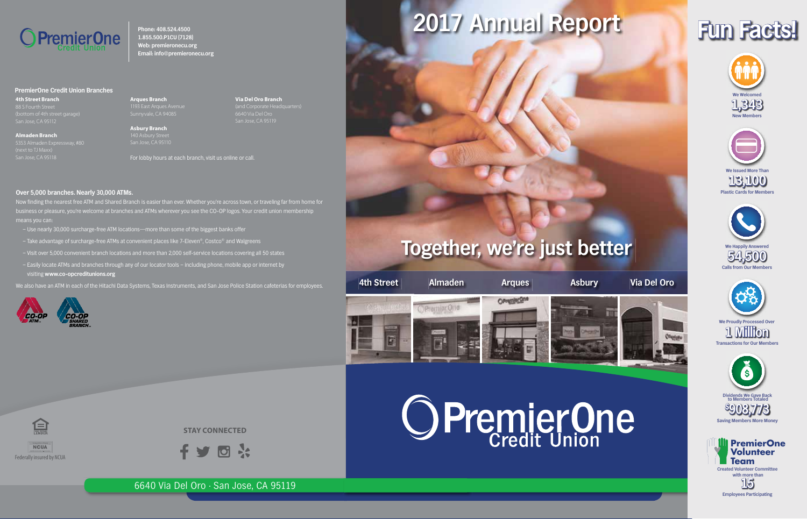

**Phone: 408.524.4500 1.855.500.P1CU (7128) Web: premieronecu.org Email: info@premieronecu.org**

#### **PremierOne Credit Union Branches**

**4th Street Branch**

**Arques Branch** Sunnyvale, CA 94085

**Asbury Branch** 

**Via Del Oro Branch**

**Almaden Branch**

For lobby hours at each branch, visit us online or call.

#### **Over 5,000 branches. Nearly 30,000 ATMs.**

Now finding the nearest free ATM and Shared Branch is easier than ever. Whether you're across town, or traveling far from home for business or pleasure, you're welcome at branches and ATMs wherever you see the CO-OP logos. Your credit union membership means you can:

- Use nearly 30,000 surcharge-free ATM locations—more than some of the biggest banks offer
- Take advantage of surcharge-free ATMs at convenient places like 7-Eleven®, Costco® and Walgreens
- Visit over 5,000 convenient branch locations and more than 2,000 self-service locations covering all 50 states
- Easily locate ATMs and branches through any of our locator tools including phone, mobile app or internet by visiting **www.co-opcreditunions.org**
- We also have an ATM in each of the Hitachi Data Systems, Texas Instruments, and San Jose Police Station cafeterias for employees.



Federally insured by NCUA

**NCUA** 

臼

## **2017 Annual Report**





**New Members**

**Fun Facts!**



# **We Proudly Processed Over**







### **Together, we're just better**

**4th Street Almaden Arques Asbury Via Del Oro OPHONESM** Premier One *Viginizar* G



6640 Via Del Oro • San Jose, CA 95119

**STAY CONNECTED**

回 …